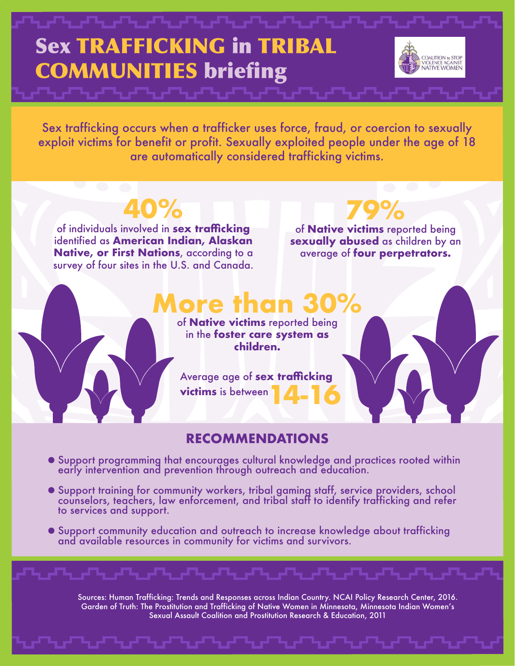### Sex TRAFFICKING in TRIBAL **COALITION** to STOP COMMUNITIES briefing violence against<br>NATIVE WOMEN

Sex trafficking occurs when a trafficker uses force, fraud, or coercion to sexually exploit victims for benefit or profit. Sexually exploited people under the age of 18 are automatically considered trafficking victims.

**40%**

of individuals involved in **sex trafficking**  identified as **American Indian, Alaskan Native, or First Nations**, according to a survey of four sites in the U.S. and Canada.

**79%** of **Native victims** reported being **sexually abused** as children by an average of **four perpetrators.**

## **More than 30%**

of **Native victims** reported being in the **foster care system as children.** 

**14-16** Average age of **sex trafficking victims** is between

#### **RECOMMENDATIONS**

- Support programming that encourages cultural knowledge and practices rooted within early intervention and prevention through outreach and education.
- Support training for community workers, tribal gaming staff, service providers, school counselors, teachers, law enforcement, and tribal staff to identify trafficking and refer to services and support.
- Support community education and outreach to increase knowledge about trafficking and available resources in community for victims and survivors.